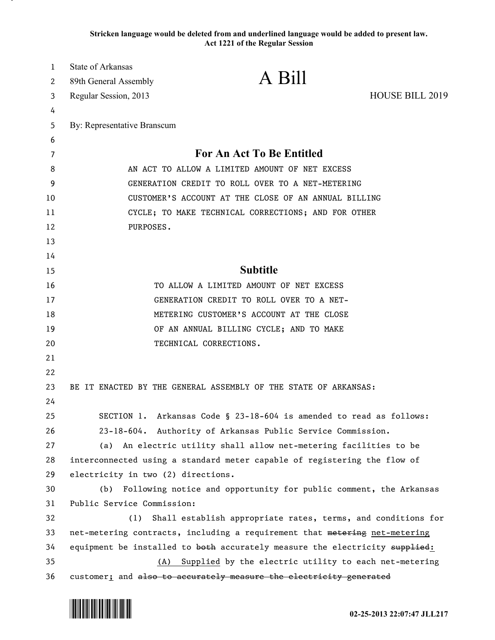**Stricken language would be deleted from and underlined language would be added to present law. Act 1221 of the Regular Session**

| $\mathbf{1}$ | State of Arkansas                                                                                                                          |                                                                     |                 |  |
|--------------|--------------------------------------------------------------------------------------------------------------------------------------------|---------------------------------------------------------------------|-----------------|--|
| 2            | 89th General Assembly                                                                                                                      | A Bill                                                              |                 |  |
| 3            | Regular Session, 2013                                                                                                                      |                                                                     | HOUSE BILL 2019 |  |
| 4            |                                                                                                                                            |                                                                     |                 |  |
| 5            | By: Representative Branscum                                                                                                                |                                                                     |                 |  |
| 6            |                                                                                                                                            |                                                                     |                 |  |
| 7            | <b>For An Act To Be Entitled</b>                                                                                                           |                                                                     |                 |  |
| 8            |                                                                                                                                            | AN ACT TO ALLOW A LIMITED AMOUNT OF NET EXCESS                      |                 |  |
| 9            | GENERATION CREDIT TO ROLL OVER TO A NET-METERING                                                                                           |                                                                     |                 |  |
| 10           | CUSTOMER'S ACCOUNT AT THE CLOSE OF AN ANNUAL BILLING                                                                                       |                                                                     |                 |  |
| 11           | CYCLE; TO MAKE TECHNICAL CORRECTIONS; AND FOR OTHER                                                                                        |                                                                     |                 |  |
| 12           | PURPOSES.                                                                                                                                  |                                                                     |                 |  |
| 13           |                                                                                                                                            |                                                                     |                 |  |
| 14           |                                                                                                                                            |                                                                     |                 |  |
| 15           | <b>Subtitle</b>                                                                                                                            |                                                                     |                 |  |
| 16           | TO ALLOW A LIMITED AMOUNT OF NET EXCESS                                                                                                    |                                                                     |                 |  |
| 17           | GENERATION CREDIT TO ROLL OVER TO A NET-                                                                                                   |                                                                     |                 |  |
| 18           | METERING CUSTOMER'S ACCOUNT AT THE CLOSE                                                                                                   |                                                                     |                 |  |
| 19           |                                                                                                                                            | OF AN ANNUAL BILLING CYCLE; AND TO MAKE                             |                 |  |
| 20           |                                                                                                                                            | TECHNICAL CORRECTIONS.                                              |                 |  |
| 21           |                                                                                                                                            |                                                                     |                 |  |
| 22           |                                                                                                                                            |                                                                     |                 |  |
| 23           |                                                                                                                                            | BE IT ENACTED BY THE GENERAL ASSEMBLY OF THE STATE OF ARKANSAS:     |                 |  |
| 24           |                                                                                                                                            |                                                                     |                 |  |
| 25           |                                                                                                                                            | SECTION 1. Arkansas Code § 23-18-604 is amended to read as follows: |                 |  |
| 26           | 23-18-604. Authority of Arkansas Public Service Commission.                                                                                |                                                                     |                 |  |
| 27           | (a) An electric utility shall allow net-metering facilities to be                                                                          |                                                                     |                 |  |
| 28           | interconnected using a standard meter capable of registering the flow of                                                                   |                                                                     |                 |  |
| 29           | electricity in two (2) directions.<br>Following notice and opportunity for public comment, the Arkansas                                    |                                                                     |                 |  |
| 30           | (b)<br>Public Service Commission:                                                                                                          |                                                                     |                 |  |
| 31<br>32     | (1)                                                                                                                                        |                                                                     |                 |  |
|              | Shall establish appropriate rates, terms, and conditions for<br>net-metering contracts, including a requirement that metering net-metering |                                                                     |                 |  |
| 33<br>34     | equipment be installed to both accurately measure the electricity supplied:                                                                |                                                                     |                 |  |
| 35           | (A) Supplied by the electric utility to each net-metering                                                                                  |                                                                     |                 |  |
| 36           | customer; and also to accurately measure the electricity generated                                                                         |                                                                     |                 |  |
|              |                                                                                                                                            |                                                                     |                 |  |